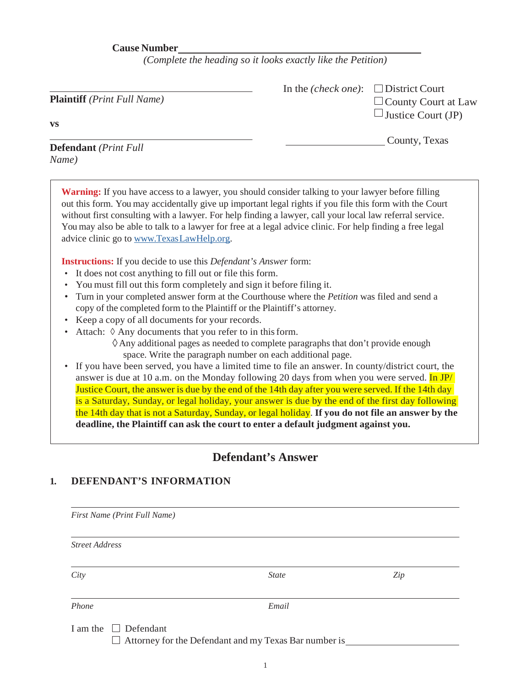**Cause Number**

*(Complete the heading so it looks exactly like the Petition)*

| Plaintiff (Print Full Name)                                                                                                                                                                                                                                                                                                                                                                                                                                                                                                                                                                                                                                                                                                                                                                                                                                                                                                                                                                                                                                                                                                                                                                                                                                                                                                                                                                                                                                                                                                                                                                                                                                                                                                                                                                                                            | In the <i>(check one)</i> : | $\Box$ District Court<br>$\Box$ County Court at Law<br>$\Box$ Justice Court (JP) |
|----------------------------------------------------------------------------------------------------------------------------------------------------------------------------------------------------------------------------------------------------------------------------------------------------------------------------------------------------------------------------------------------------------------------------------------------------------------------------------------------------------------------------------------------------------------------------------------------------------------------------------------------------------------------------------------------------------------------------------------------------------------------------------------------------------------------------------------------------------------------------------------------------------------------------------------------------------------------------------------------------------------------------------------------------------------------------------------------------------------------------------------------------------------------------------------------------------------------------------------------------------------------------------------------------------------------------------------------------------------------------------------------------------------------------------------------------------------------------------------------------------------------------------------------------------------------------------------------------------------------------------------------------------------------------------------------------------------------------------------------------------------------------------------------------------------------------------------|-----------------------------|----------------------------------------------------------------------------------|
| VS                                                                                                                                                                                                                                                                                                                                                                                                                                                                                                                                                                                                                                                                                                                                                                                                                                                                                                                                                                                                                                                                                                                                                                                                                                                                                                                                                                                                                                                                                                                                                                                                                                                                                                                                                                                                                                     |                             |                                                                                  |
| <b>Defendant</b> (Print Full<br>Name)                                                                                                                                                                                                                                                                                                                                                                                                                                                                                                                                                                                                                                                                                                                                                                                                                                                                                                                                                                                                                                                                                                                                                                                                                                                                                                                                                                                                                                                                                                                                                                                                                                                                                                                                                                                                  |                             | County, Texas                                                                    |
| <b>Warning:</b> If you have access to a lawyer, you should consider talking to your lawyer before filling<br>out this form. You may accidentally give up important legal rights if you file this form with the Court<br>without first consulting with a lawyer. For help finding a lawyer, call your local law referral service.<br>You may also be able to talk to a lawyer for free at a legal advice clinic. For help finding a free legal<br>advice clinic go to www.TexasLawHelp.org.<br><b>Instructions:</b> If you decide to use this <i>Defendant's Answer</i> form:<br>It does not cost anything to fill out or file this form.<br>$\bullet$<br>You must fill out this form completely and sign it before filing it.<br>Turn in your completed answer form at the Courthouse where the <i>Petition</i> was filed and send a<br>$\bullet$<br>copy of the completed form to the Plaintiff or the Plaintiff's attorney.<br>Keep a copy of all documents for your records.<br>Attach: $\Diamond$ Any documents that you refer to in this form.<br>$\Diamond$ Any additional pages as needed to complete paragraphs that don't provide enough<br>space. Write the paragraph number on each additional page.<br>If you have been served, you have a limited time to file an answer. In county/district court, the<br>$\bullet$<br>answer is due at 10 a.m. on the Monday following 20 days from when you were served. In JP/<br>Justice Court, the answer is due by the end of the 14th day after you were served. If the 14th day<br>is a Saturday, Sunday, or legal holiday, your answer is due by the end of the first day following<br>the 14th day that is not a Saturday, Sunday, or legal holiday. If you do not file an answer by the<br>deadline, the Plaintiff can ask the court to enter a default judgment against you. |                             |                                                                                  |
|                                                                                                                                                                                                                                                                                                                                                                                                                                                                                                                                                                                                                                                                                                                                                                                                                                                                                                                                                                                                                                                                                                                                                                                                                                                                                                                                                                                                                                                                                                                                                                                                                                                                                                                                                                                                                                        | <b>Defendant's Answer</b>   |                                                                                  |
| <b>DEFENDANT'S INFORMATION</b><br>1.                                                                                                                                                                                                                                                                                                                                                                                                                                                                                                                                                                                                                                                                                                                                                                                                                                                                                                                                                                                                                                                                                                                                                                                                                                                                                                                                                                                                                                                                                                                                                                                                                                                                                                                                                                                                   |                             |                                                                                  |
| First Name (Print Full Name)                                                                                                                                                                                                                                                                                                                                                                                                                                                                                                                                                                                                                                                                                                                                                                                                                                                                                                                                                                                                                                                                                                                                                                                                                                                                                                                                                                                                                                                                                                                                                                                                                                                                                                                                                                                                           |                             |                                                                                  |

*Street Address*

*City State Zip*

*Phone Email*

I am the  $\Box$  Defendant

Attorney for the Defendant and my Texas Bar number is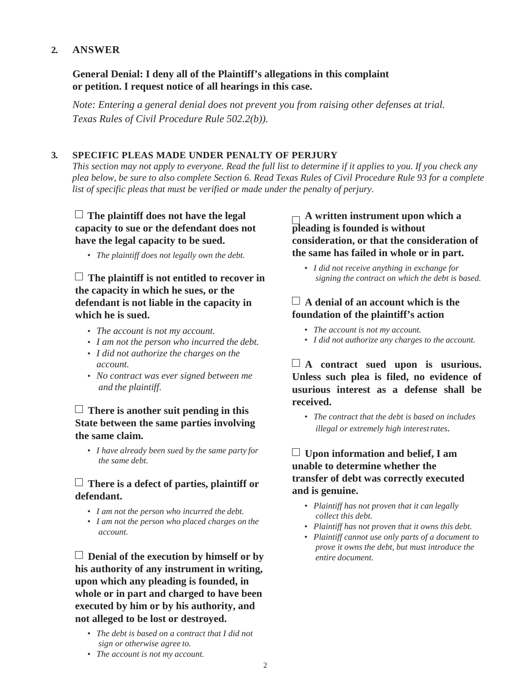## **2. ANSWER**

### **General Denial: I deny all of the Plaintiff's allegations in this complaint or petition. I request notice of all hearings in this case.**

*Note: Entering a general denial does not prevent you from raising other defenses at trial. Texas Rules of Civil Procedure Rule 502.2(b)).*

#### **3. SPECIFIC PLEAS MADE UNDER PENALTY OF PERJURY**

*This section may not apply to everyone. Read the full list to determine if it applies to you. If you check any plea below, be sure to also complete Section 6. Read Texas Rules of Civil Procedure Rule 93 for a complete list of specific pleas that must be verified or made under the penalty of perjury.*

## **The plaintiff does not have the legal capacity to sue or the defendant does not have the legal capacity to be sued.**

*• The plaintiff does not legally own the debt.*

# **The plaintiff is not entitled to recover in the capacity in which he sues, or the defendant is not liable in the capacity in which he is sued.**

- *• The account is not my account.*
- *• I am not the person who incurred the debt.*
- *• I did not authorize the charges on the account.*
- *• No contract was ever signed between me and the plaintiff.*

## **There is another suit pending in this State between the same parties involving the same claim.**

*• I have already been sued by the same party for the same debt.*

## **There is a defect of parties, plaintiff or defendant.**

- *• I am not the person who incurred the debt.*
- *• I am not the person who placed charges on the account.*

**Denial of the execution by himself or by his authority of any instrument in writing, upon which any pleading is founded, in whole or in part and charged to have been executed by him or by his authority, and not alleged to be lost or destroyed.**

*• The debt is based on a contract that I did not sign or otherwise agree to.*

# **A written instrument upon which a pleading is founded is without consideration, or that the consideration of the same has failed in whole or in part.**

*• I did not receive anything in exchange for signing the contract on which the debt is based.*

# **A denial of an account which is the foundation of the plaintiff's action**

- *• The account is not my account.*
- *• I did not authorize any charges to the account.*

**A contract sued upon is usurious. Unless such plea is filed, no evidence of usurious interest as a defense shall be received.**

*• The contract that the debt is based on includes illegal or extremely high interestrates.*

# **Upon information and belief, I am unable to determine whether the transfer of debt was correctly executed and is genuine.**

- *• Plaintiff has not proven that it can legally collect this debt.*
- *• Plaintiff has not proven that it owns this debt.*
- *• Plaintiff cannot use only parts of a document to prove it owns the debt, but must introduce the entire document.*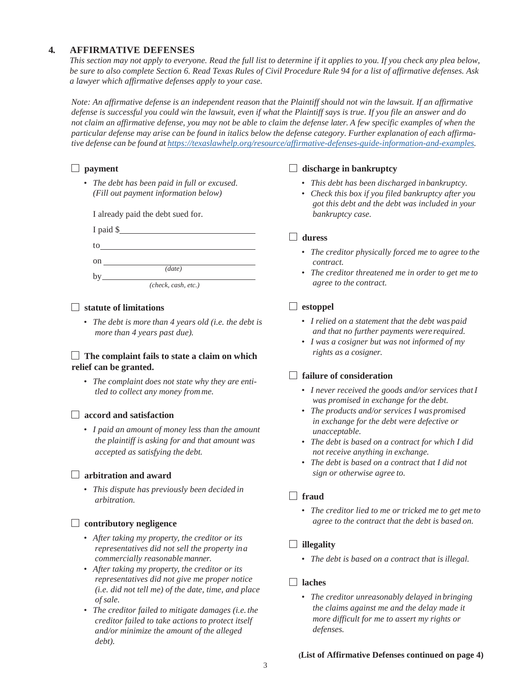#### **4. AFFIRMATIVE DEFENSES**

*This section may not apply to everyone. Read the full list to determine if it applies to you. If you check any plea below, be sure to also complete Section 6. Read Texas Rules of Civil Procedure Rule 94 for a list of affirmative defenses. Ask a lawyer which affirmative defenses apply to your case.*

*Note: An affirmative defense is an independent reason that the Plaintiff should not win the lawsuit. If an affirmative defense is successful you could win the lawsuit, even if what the Plaintiff says is true. If you file an answer and do not claim an affirmative defense, you may not be able to claim the defense later. A few specific examples of when the* particular defense may arise can be found in italics below the defense category. Further explanation of each affirma*tive defense can be found at https://texaslawhelp.org/resource/affirmative-defenses-guide-information-and-examples.*

## **payment**

*• The debt has been paid in full or excused. (Fill out payment information below)*

I already paid the debt sued for.

|                     | $I$ paid $\frac{S}{I}$ |  |  |
|---------------------|------------------------|--|--|
| to                  |                        |  |  |
| $\mathbf{on}$       |                        |  |  |
|                     | (data)                 |  |  |
| (check, cash, etc.) |                        |  |  |

#### **statute of limitations**

*• The debt is more than 4 years old (i.e. the debt is more than 4 years past due).*

#### **The complaint fails to state a claim on which relief can be granted.**

*• The complaint does not state why they are entitled to collect any money from me.*

#### **accord and satisfaction**

*• I paid an amount of money less than the amount the plaintiff is asking for and that amount was accepted as satisfying the debt.*

#### **arbitration and award**

*• This dispute has previously been decided in arbitration.*

#### **contributory negligence**

- *• After taking my property, the creditor or its representatives did not sell the property ina commercially reasonable manner.*
- *• After taking my property, the creditor or its representatives did not give me proper notice (i.e. did not tell me) of the date, time, and place of sale.*
- *• The creditor failed to mitigate damages (i.e. the creditor failed to take actions to protect itself and/or minimize the amount of the alleged debt).*

#### **discharge in bankruptcy**

- *• This debt has been discharged in bankruptcy.*
- *• Check this box if you filed bankruptcy after you got this debt and the debt was included in your bankruptcy case.*

#### **duress**

- *• The creditor physically forced me to agree to the contract.*
- *• The creditor threatened me in order to get me to agree to the contract.*

### **estoppel**

- *• I relied on a statement that the debt was paid and that no further payments were required.*
- *• I was a cosigner but was not informed of my rights as a cosigner.*

#### **failure of consideration**

- *• I never received the goods and/or services thatI was promised in exchange for the debt.*
- *• The products and/or services I was promised in exchange for the debt were defective or unacceptable.*
- *• The debt is based on a contract for which I did not receive anything in exchange.*
- *• The debt is based on a contract that I did not sign or otherwise agree to.*

### **fraud**

*• The creditor lied to me or tricked me to get me to agree to the contract that the debt is based on.*

### **illegality**

*• The debt is based on a contract that is illegal.*

#### **laches**

*• The creditor unreasonably delayed in bringing the claims against me and the delay made it more difficult for me to assert my rights or defenses.*

#### **(List of Affirmative Defenses continued on page 4)**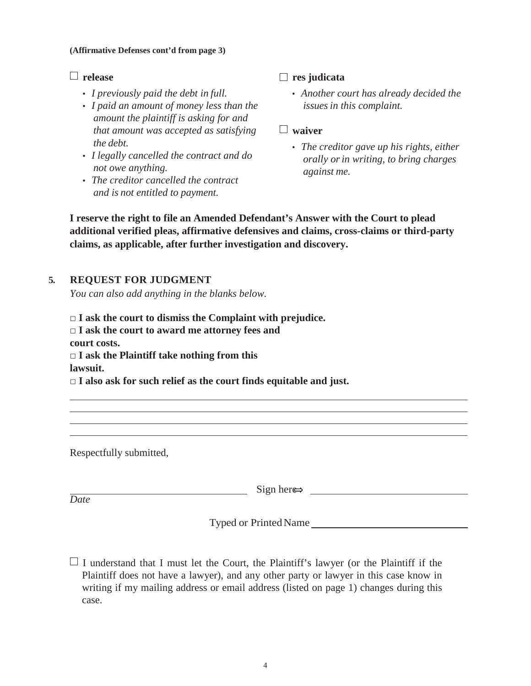#### **(Affirmative Defenses cont'd from page 3)**

### **release**

- *• I previously paid the debt in full.*
- *• I paid an amount of money less than the amount the plaintiff is asking for and that amount was accepted as satisfying the debt.*
- *• I legally cancelled the contract and do not owe anything.*
- *• The creditor cancelled the contract and is not entitled to payment.*

**res judicata**

*• Another court has already decided the issuesin this complaint.*

### **waiver**

*• The creditor gave up his rights, either orally orin writing, to bring charges against me.*

**I reserve the right to file an Amended Defendant's Answer with the Court to plead additional verified pleas, affirmative defensives and claims, cross-claims or third-party claims, as applicable, after further investigation and discovery.**

# **5. REQUEST FOR JUDGMENT**

*You can also add anything in the blanks below.*

□ **I ask the court to dismiss the Complaint with prejudice.** □ **I ask the court to award me attorney fees and court costs.** □ **I ask the Plaintiff take nothing from this lawsuit.**

□ **I also ask for such relief as the court finds equitable and just.**

Respectfully submitted,

Date Sign her<del>e></del> <u>National</u> Sign here→ <u>Date</u>

Typed or Printed Name

 $\Box$  I understand that I must let the Court, the Plaintiff's lawyer (or the Plaintiff if the Plaintiff does not have a lawyer), and any other party or lawyer in this case know in writing if my mailing address or email address (listed on page 1) changes during this case.